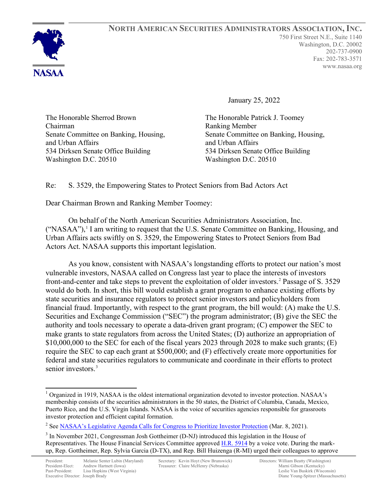

January 25, 2022

The Honorable Sherrod Brown Chairman Senate Committee on Banking, Housing, and Urban Affairs 534 Dirksen Senate Office Building Washington D.C. 20510

The Honorable Patrick J. Toomey Ranking Member Senate Committee on Banking, Housing, and Urban Affairs 534 Dirksen Senate Office Building Washington D.C. 20510

## Re: S. 3529, the Empowering States to Protect Seniors from Bad Actors Act

Dear Chairman Brown and Ranking Member Toomey:

On behalf of the North American Securities Administrators Association, Inc.  $("NASAA")$ ,<sup>[1](#page-0-0)</sup> I am writing to request that the U.S. Senate Committee on Banking, Housing, and Urban Affairs acts swiftly on S. 3529, the Empowering States to Protect Seniors from Bad Actors Act. NASAA supports this important legislation.

As you know, consistent with NASAA's longstanding efforts to protect our nation's most vulnerable investors, NASAA called on Congress last year to place the interests of investors front-and-center and take steps to prevent the exploitation of older investors.<sup>[2](#page-0-1)</sup> Passage of S. 3529 would do both. In short, this bill would establish a grant program to enhance existing efforts by state securities and insurance regulators to protect senior investors and policyholders from financial fraud. Importantly, with respect to the grant program, the bill would: (A) make the U.S. Securities and Exchange Commission ("SEC") the program administrator; (B) give the SEC the authority and tools necessary to operate a data-driven grant program; (C) empower the SEC to make grants to state regulators from across the United States; (D) authorize an appropriation of \$10,000,000 to the SEC for each of the fiscal years 2023 through 2028 to make such grants; (E) require the SEC to cap each grant at \$500,000; and (F) effectively create more opportunities for federal and state securities regulators to communicate and coordinate in their efforts to protect senior investors.<sup>[3](#page-0-2)</sup>

<span id="page-0-1"></span><sup>2</sup> See [NASAA's Legislative Agenda Calls for Congress to Prioritize Investor Protection](https://www.nasaa.org/57082/nasaas-legislative-agenda-calls-for-congress-to-prioritize-investor-protection/?qoid=current-headlines) (Mar. 8, 2021).

<span id="page-0-0"></span><sup>&</sup>lt;sup>1</sup> Organized in 1919, NASAA is the oldest international organization devoted to investor protection. NASAA's membership consists of the securities administrators in the 50 states, the District of Columbia, Canada, Mexico, Puerto Rico, and the U.S. Virgin Islands. NASAA is the voice of securities agencies responsible for grassroots investor protection and efficient capital formation.

<span id="page-0-2"></span><sup>&</sup>lt;sup>3</sup> In November 2021, Congressman Josh Gottheimer (D-NJ) introduced this legislation in the House of Representatives. The House Financial Services Committee approved [H.R. 5914](https://www.congress.gov/search?q=%7B%22source%22%3A%22legislation%22%2C%22search%22%3A%22hr%205914%22%7D) by a voice vote. During the markup, Rep. Gottheimer, Rep. Sylvia Garcia (D-TX), and Rep. Bill Huizenga (R-MI) urged their colleagues to approve